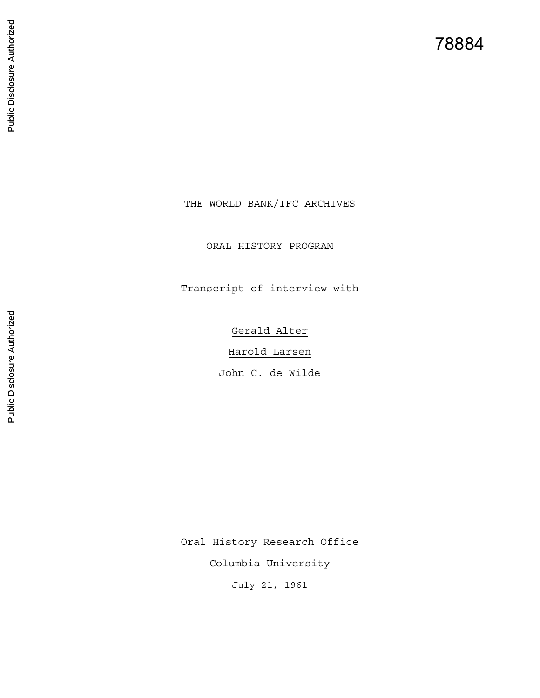78884

THE WORLD BANK/IFC ARCHIVES

ORAL HISTORY PROGRAM

Transcript of interview with

Gerald Alter Harold Larsen John C. de Wilde

Oral History Research Office

Columbia University

July 21, 1961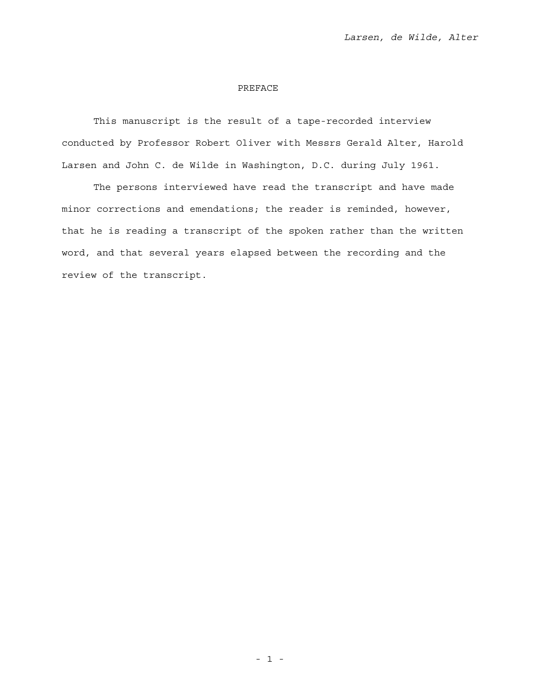## PREFACE

 This manuscript is the result of a tape-recorded interview conducted by Professor Robert Oliver with Messrs Gerald Alter, Harold Larsen and John C. de Wilde in Washington, D.C. during July 1961.

 The persons interviewed have read the transcript and have made minor corrections and emendations; the reader is reminded, however, that he is reading a transcript of the spoken rather than the written word, and that several years elapsed between the recording and the review of the transcript.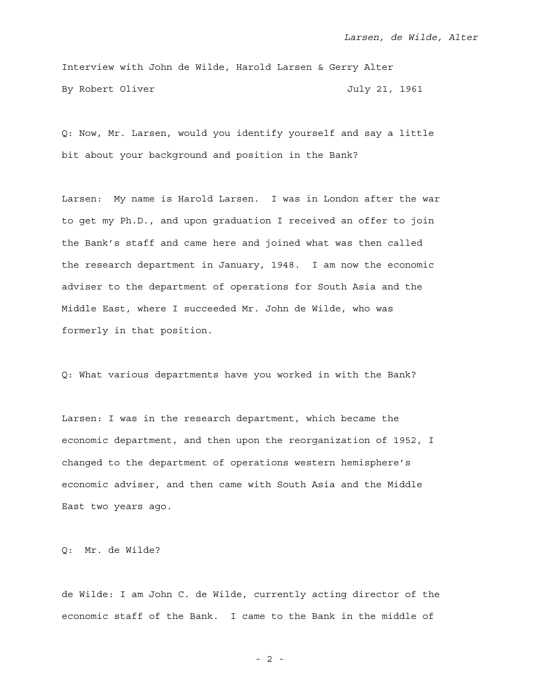Interview with John de Wilde, Harold Larsen & Gerry Alter By Robert Oliver Gastro Controller and Muly 21, 1961

Q: Now, Mr. Larsen, would you identify yourself and say a little bit about your background and position in the Bank?

Larsen: My name is Harold Larsen. I was in London after the war to get my Ph.D., and upon graduation I received an offer to join the Bank's staff and came here and joined what was then called the research department in January, 1948. I am now the economic adviser to the department of operations for South Asia and the Middle East, where I succeeded Mr. John de Wilde, who was formerly in that position.

Q: What various departments have you worked in with the Bank?

Larsen: I was in the research department, which became the economic department, and then upon the reorganization of 1952, I changed to the department of operations western hemisphere's economic adviser, and then came with South Asia and the Middle East two years ago.

Q: Mr. de Wilde?

de Wilde: I am John C. de Wilde, currently acting director of the economic staff of the Bank. I came to the Bank in the middle of

- 2 -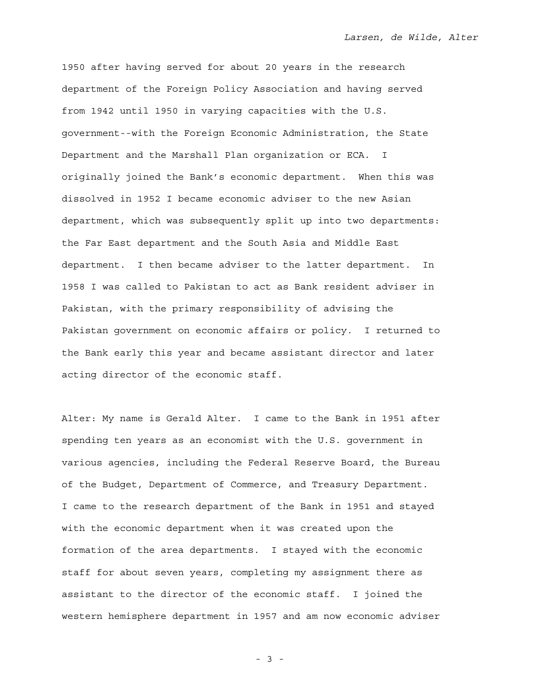1950 after having served for about 20 years in the research department of the Foreign Policy Association and having served from 1942 until 1950 in varying capacities with the U.S. government--with the Foreign Economic Administration, the State Department and the Marshall Plan organization or ECA. I originally joined the Bank's economic department. When this was dissolved in 1952 I became economic adviser to the new Asian department, which was subsequently split up into two departments: the Far East department and the South Asia and Middle East department. I then became adviser to the latter department. In 1958 I was called to Pakistan to act as Bank resident adviser in Pakistan, with the primary responsibility of advising the Pakistan government on economic affairs or policy. I returned to the Bank early this year and became assistant director and later acting director of the economic staff.

Alter: My name is Gerald Alter. I came to the Bank in 1951 after spending ten years as an economist with the U.S. government in various agencies, including the Federal Reserve Board, the Bureau of the Budget, Department of Commerce, and Treasury Department. I came to the research department of the Bank in 1951 and stayed with the economic department when it was created upon the formation of the area departments. I stayed with the economic staff for about seven years, completing my assignment there as assistant to the director of the economic staff. I joined the western hemisphere department in 1957 and am now economic adviser

- 3 -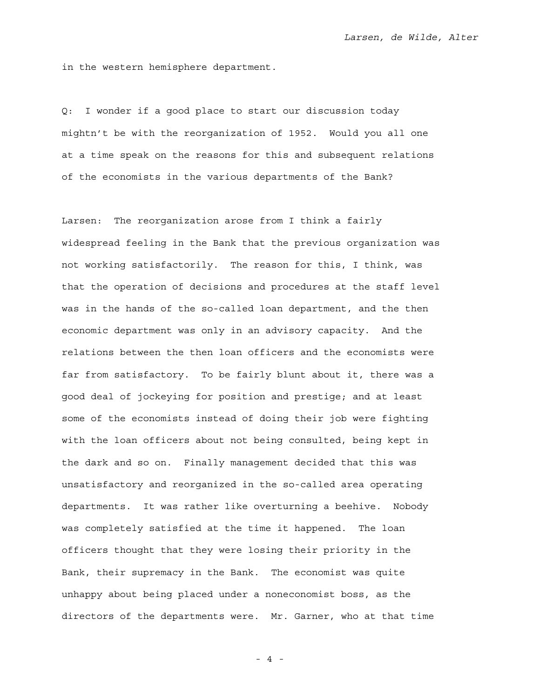in the western hemisphere department.

Q: I wonder if a good place to start our discussion today mightn't be with the reorganization of 1952. Would you all one at a time speak on the reasons for this and subsequent relations of the economists in the various departments of the Bank?

Larsen: The reorganization arose from I think a fairly widespread feeling in the Bank that the previous organization was not working satisfactorily. The reason for this, I think, was that the operation of decisions and procedures at the staff level was in the hands of the so-called loan department, and the then economic department was only in an advisory capacity. And the relations between the then loan officers and the economists were far from satisfactory. To be fairly blunt about it, there was a good deal of jockeying for position and prestige; and at least some of the economists instead of doing their job were fighting with the loan officers about not being consulted, being kept in the dark and so on. Finally management decided that this was unsatisfactory and reorganized in the so-called area operating departments. It was rather like overturning a beehive. Nobody was completely satisfied at the time it happened. The loan officers thought that they were losing their priority in the Bank, their supremacy in the Bank. The economist was quite unhappy about being placed under a noneconomist boss, as the directors of the departments were. Mr. Garner, who at that time

- 4 -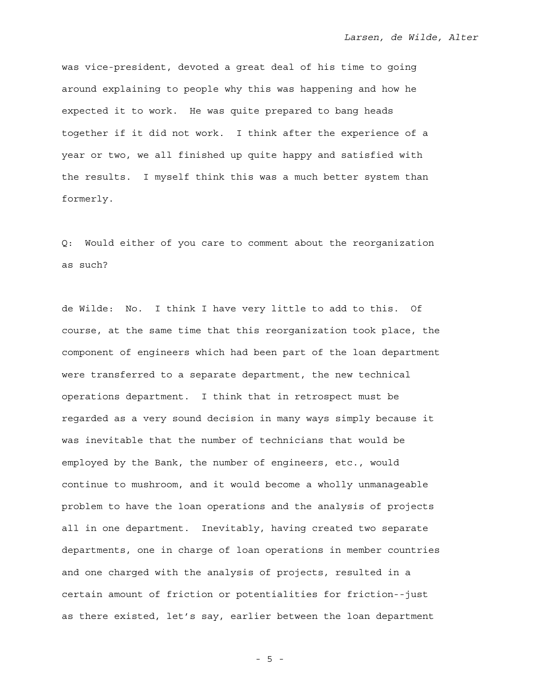was vice-president, devoted a great deal of his time to going around explaining to people why this was happening and how he expected it to work. He was quite prepared to bang heads together if it did not work. I think after the experience of a year or two, we all finished up quite happy and satisfied with the results. I myself think this was a much better system than formerly.

Q: Would either of you care to comment about the reorganization as such?

de Wilde: No. I think I have very little to add to this. Of course, at the same time that this reorganization took place, the component of engineers which had been part of the loan department were transferred to a separate department, the new technical operations department. I think that in retrospect must be regarded as a very sound decision in many ways simply because it was inevitable that the number of technicians that would be employed by the Bank, the number of engineers, etc., would continue to mushroom, and it would become a wholly unmanageable problem to have the loan operations and the analysis of projects all in one department. Inevitably, having created two separate departments, one in charge of loan operations in member countries and one charged with the analysis of projects, resulted in a certain amount of friction or potentialities for friction--just as there existed, let's say, earlier between the loan department

- 5 -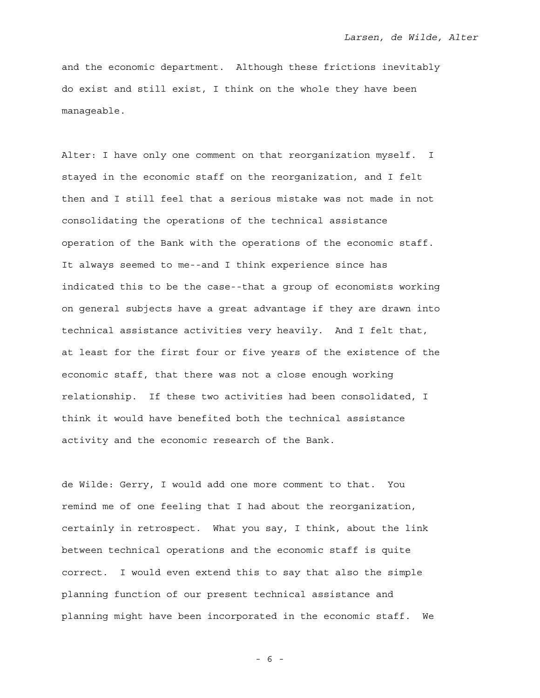and the economic department. Although these frictions inevitably do exist and still exist, I think on the whole they have been manageable.

Alter: I have only one comment on that reorganization myself. I stayed in the economic staff on the reorganization, and I felt then and I still feel that a serious mistake was not made in not consolidating the operations of the technical assistance operation of the Bank with the operations of the economic staff. It always seemed to me--and I think experience since has indicated this to be the case--that a group of economists working on general subjects have a great advantage if they are drawn into technical assistance activities very heavily. And I felt that, at least for the first four or five years of the existence of the economic staff, that there was not a close enough working relationship. If these two activities had been consolidated, I think it would have benefited both the technical assistance activity and the economic research of the Bank.

de Wilde: Gerry, I would add one more comment to that. You remind me of one feeling that I had about the reorganization, certainly in retrospect. What you say, I think, about the link between technical operations and the economic staff is quite correct. I would even extend this to say that also the simple planning function of our present technical assistance and planning might have been incorporated in the economic staff. We

- 6 -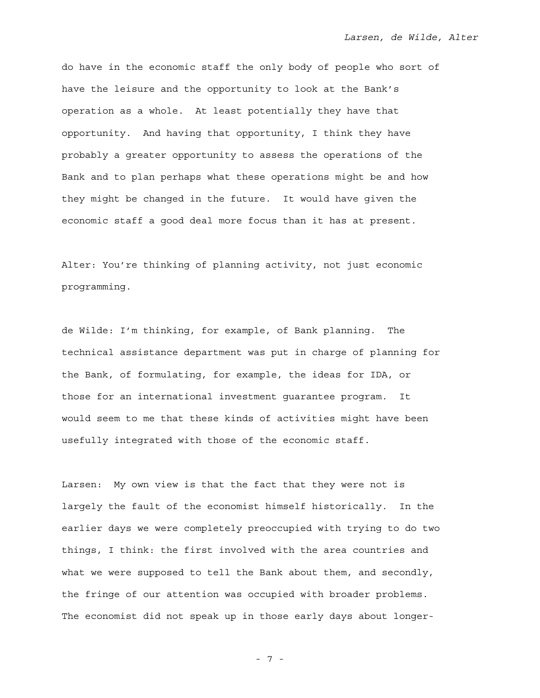do have in the economic staff the only body of people who sort of have the leisure and the opportunity to look at the Bank's operation as a whole. At least potentially they have that opportunity. And having that opportunity, I think they have probably a greater opportunity to assess the operations of the Bank and to plan perhaps what these operations might be and how they might be changed in the future. It would have given the economic staff a good deal more focus than it has at present.

Alter: You're thinking of planning activity, not just economic programming.

de Wilde: I'm thinking, for example, of Bank planning. The technical assistance department was put in charge of planning for the Bank, of formulating, for example, the ideas for IDA, or those for an international investment guarantee program. It would seem to me that these kinds of activities might have been usefully integrated with those of the economic staff.

Larsen: My own view is that the fact that they were not is largely the fault of the economist himself historically. In the earlier days we were completely preoccupied with trying to do two things, I think: the first involved with the area countries and what we were supposed to tell the Bank about them, and secondly, the fringe of our attention was occupied with broader problems. The economist did not speak up in those early days about longer-

- 7 -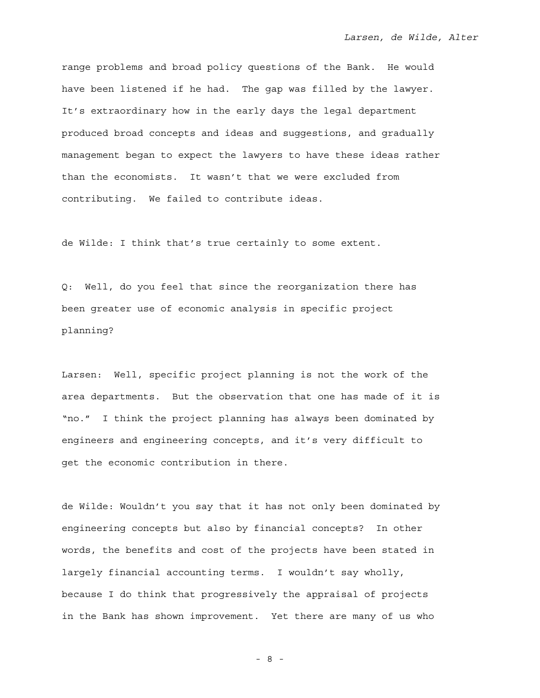range problems and broad policy questions of the Bank. He would have been listened if he had. The gap was filled by the lawyer. It's extraordinary how in the early days the legal department produced broad concepts and ideas and suggestions, and gradually management began to expect the lawyers to have these ideas rather than the economists. It wasn't that we were excluded from contributing. We failed to contribute ideas.

de Wilde: I think that's true certainly to some extent.

Q: Well, do you feel that since the reorganization there has been greater use of economic analysis in specific project planning?

Larsen: Well, specific project planning is not the work of the area departments. But the observation that one has made of it is "no." I think the project planning has always been dominated by engineers and engineering concepts, and it's very difficult to get the economic contribution in there.

de Wilde: Wouldn't you say that it has not only been dominated by engineering concepts but also by financial concepts? In other words, the benefits and cost of the projects have been stated in largely financial accounting terms. I wouldn't say wholly, because I do think that progressively the appraisal of projects in the Bank has shown improvement. Yet there are many of us who

- 8 -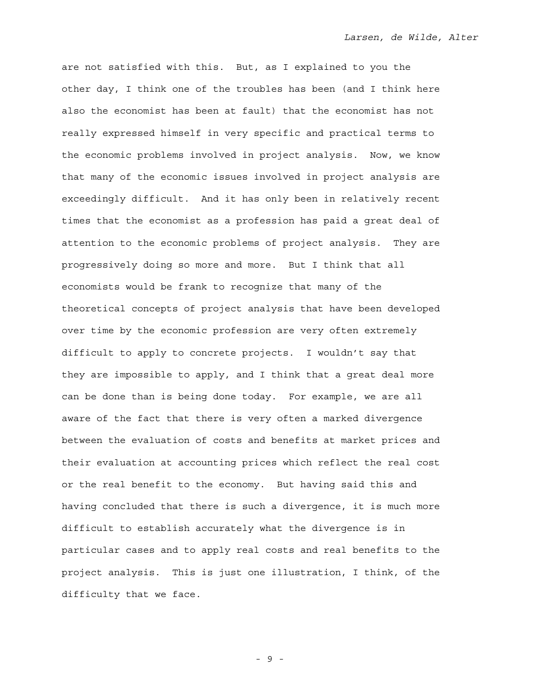are not satisfied with this. But, as I explained to you the other day, I think one of the troubles has been (and I think here also the economist has been at fault) that the economist has not really expressed himself in very specific and practical terms to the economic problems involved in project analysis. Now, we know that many of the economic issues involved in project analysis are exceedingly difficult. And it has only been in relatively recent times that the economist as a profession has paid a great deal of attention to the economic problems of project analysis. They are progressively doing so more and more. But I think that all economists would be frank to recognize that many of the theoretical concepts of project analysis that have been developed over time by the economic profession are very often extremely difficult to apply to concrete projects. I wouldn't say that they are impossible to apply, and I think that a great deal more can be done than is being done today. For example, we are all aware of the fact that there is very often a marked divergence between the evaluation of costs and benefits at market prices and their evaluation at accounting prices which reflect the real cost or the real benefit to the economy. But having said this and having concluded that there is such a divergence, it is much more difficult to establish accurately what the divergence is in particular cases and to apply real costs and real benefits to the project analysis. This is just one illustration, I think, of the difficulty that we face.

- 9 -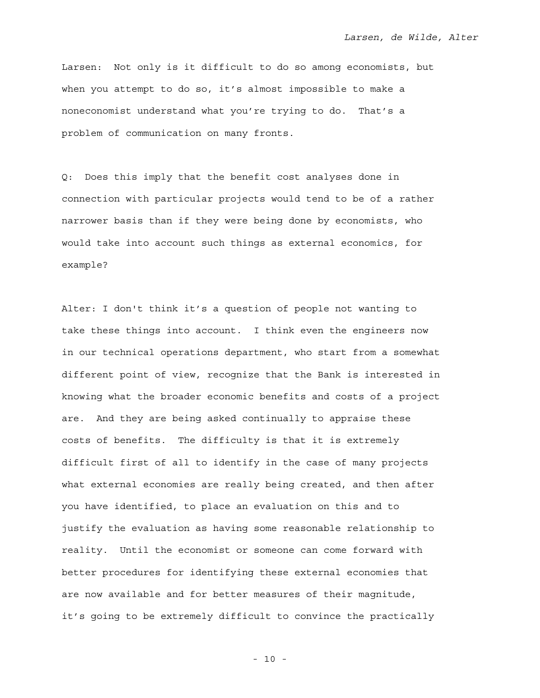Larsen: Not only is it difficult to do so among economists, but when you attempt to do so, it's almost impossible to make a noneconomist understand what you're trying to do. That's a problem of communication on many fronts.

Q: Does this imply that the benefit cost analyses done in connection with particular projects would tend to be of a rather narrower basis than if they were being done by economists, who would take into account such things as external economics, for example?

Alter: I don't think it's a question of people not wanting to take these things into account. I think even the engineers now in our technical operations department, who start from a somewhat different point of view, recognize that the Bank is interested in knowing what the broader economic benefits and costs of a project are. And they are being asked continually to appraise these costs of benefits. The difficulty is that it is extremely difficult first of all to identify in the case of many projects what external economies are really being created, and then after you have identified, to place an evaluation on this and to justify the evaluation as having some reasonable relationship to reality. Until the economist or someone can come forward with better procedures for identifying these external economies that are now available and for better measures of their magnitude, it's going to be extremely difficult to convince the practically

- 10 -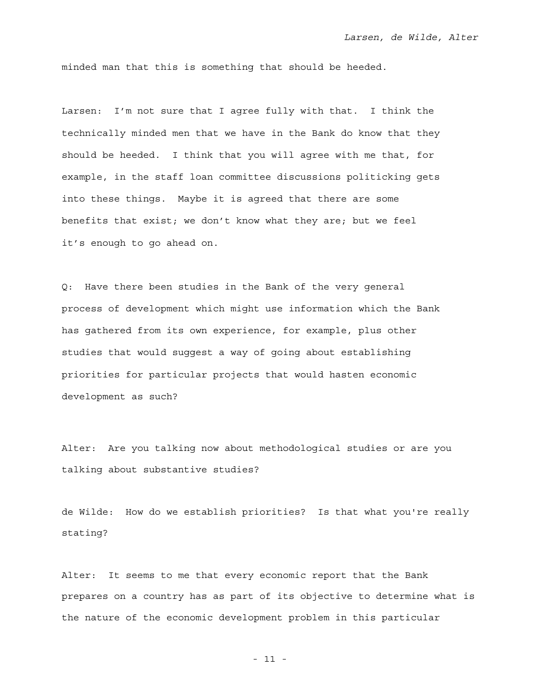minded man that this is something that should be heeded.

Larsen: I'm not sure that I agree fully with that. I think the technically minded men that we have in the Bank do know that they should be heeded. I think that you will agree with me that, for example, in the staff loan committee discussions politicking gets into these things. Maybe it is agreed that there are some benefits that exist; we don't know what they are; but we feel it's enough to go ahead on.

Q: Have there been studies in the Bank of the very general process of development which might use information which the Bank has gathered from its own experience, for example, plus other studies that would suggest a way of going about establishing priorities for particular projects that would hasten economic development as such?

Alter: Are you talking now about methodological studies or are you talking about substantive studies?

de Wilde: How do we establish priorities? Is that what you're really stating?

Alter: It seems to me that every economic report that the Bank prepares on a country has as part of its objective to determine what is the nature of the economic development problem in this particular

- 11 -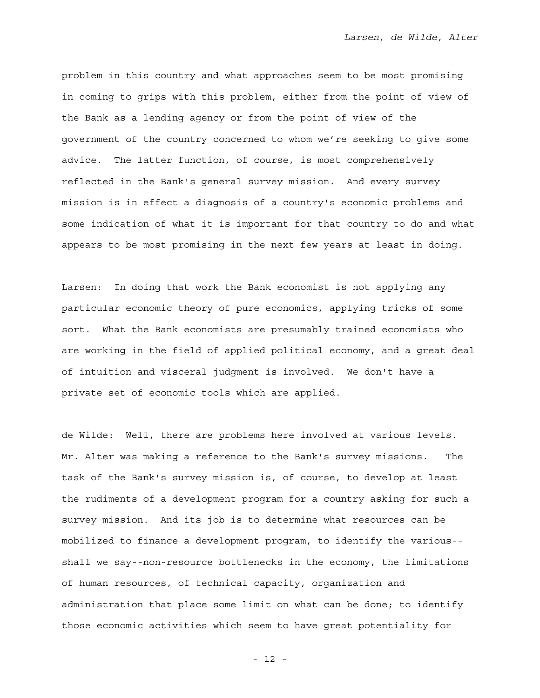problem in this country and what approaches seem to be most promising in coming to grips with this problem, either from the point of view of the Bank as a lending agency or from the point of view of the government of the country concerned to whom we're seeking to give some advice. The latter function, of course, is most comprehensively reflected in the Bank's general survey mission. And every survey mission is in effect a diagnosis of a country's economic problems and some indication of what it is important for that country to do and what appears to be most promising in the next few years at least in doing.

Larsen: In doing that work the Bank economist is not applying any particular economic theory of pure economics, applying tricks of some sort. What the Bank economists are presumably trained economists who are working in the field of applied political economy, and a great deal of intuition and visceral judgment is involved. We don't have a private set of economic tools which are applied.

de Wilde: Well, there are problems here involved at various levels. Mr. Alter was making a reference to the Bank's survey missions. The task of the Bank's survey mission is, of course, to develop at least the rudiments of a development program for a country asking for such a survey mission. And its job is to determine what resources can be mobilized to finance a development program, to identify the various- shall we say--non-resource bottlenecks in the economy, the limitations of human resources, of technical capacity, organization and administration that place some limit on what can be done; to identify those economic activities which seem to have great potentiality for

- 12 -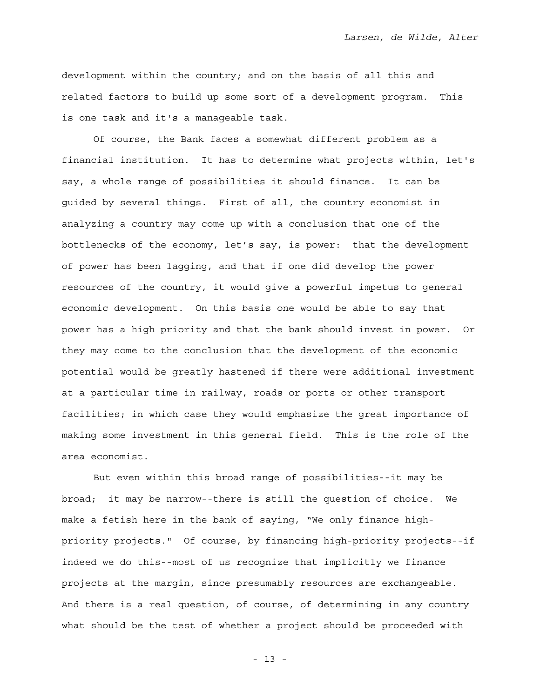development within the country; and on the basis of all this and related factors to build up some sort of a development program. This is one task and it's a manageable task.

 Of course, the Bank faces a somewhat different problem as a financial institution. It has to determine what projects within, let's say, a whole range of possibilities it should finance. It can be guided by several things. First of all, the country economist in analyzing a country may come up with a conclusion that one of the bottlenecks of the economy, let's say, is power: that the development of power has been lagging, and that if one did develop the power resources of the country, it would give a powerful impetus to general economic development. On this basis one would be able to say that power has a high priority and that the bank should invest in power. Or they may come to the conclusion that the development of the economic potential would be greatly hastened if there were additional investment at a particular time in railway, roads or ports or other transport facilities; in which case they would emphasize the great importance of making some investment in this general field. This is the role of the area economist.

 But even within this broad range of possibilities--it may be broad; it may be narrow--there is still the question of choice. We make a fetish here in the bank of saying, "We only finance highpriority projects." Of course, by financing high-priority projects--if indeed we do this--most of us recognize that implicitly we finance projects at the margin, since presumably resources are exchangeable. And there is a real question, of course, of determining in any country what should be the test of whether a project should be proceeded with

- 13 -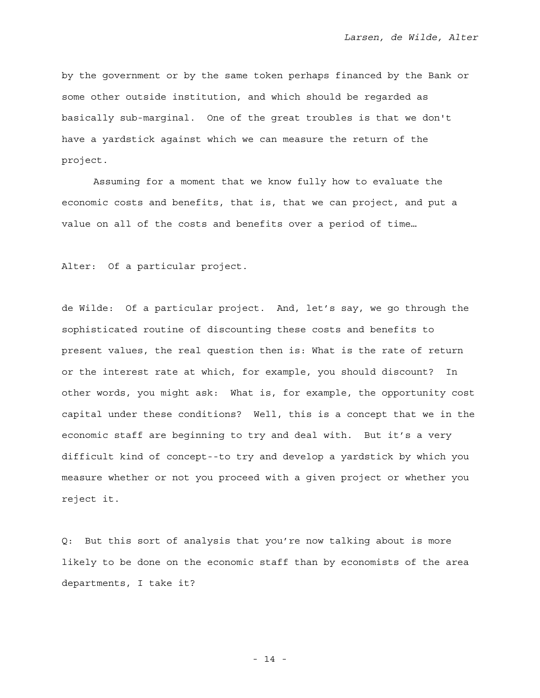by the government or by the same token perhaps financed by the Bank or some other outside institution, and which should be regarded as basically sub-marginal. One of the great troubles is that we don't have a yardstick against which we can measure the return of the project.

 Assuming for a moment that we know fully how to evaluate the economic costs and benefits, that is, that we can project, and put a value on all of the costs and benefits over a period of time…

Alter: Of a particular project.

de Wilde: Of a particular project. And, let's say, we go through the sophisticated routine of discounting these costs and benefits to present values, the real question then is: What is the rate of return or the interest rate at which, for example, you should discount? In other words, you might ask: What is, for example, the opportunity cost capital under these conditions? Well, this is a concept that we in the economic staff are beginning to try and deal with. But it's a very difficult kind of concept--to try and develop a yardstick by which you measure whether or not you proceed with a given project or whether you reject it.

Q: But this sort of analysis that you're now talking about is more likely to be done on the economic staff than by economists of the area departments, I take it?

- 14 -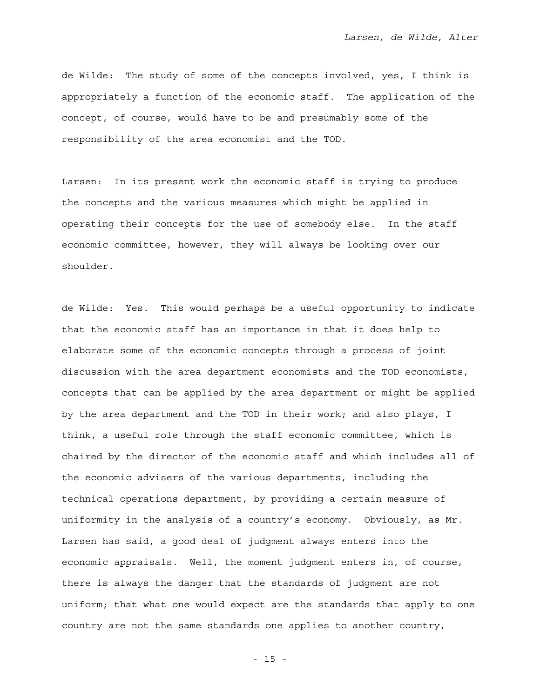de Wilde: The study of some of the concepts involved, yes, I think is appropriately a function of the economic staff. The application of the concept, of course, would have to be and presumably some of the responsibility of the area economist and the TOD.

Larsen: In its present work the economic staff is trying to produce the concepts and the various measures which might be applied in operating their concepts for the use of somebody else. In the staff economic committee, however, they will always be looking over our shoulder.

de Wilde: Yes. This would perhaps be a useful opportunity to indicate that the economic staff has an importance in that it does help to elaborate some of the economic concepts through a process of joint discussion with the area department economists and the TOD economists, concepts that can be applied by the area department or might be applied by the area department and the TOD in their work; and also plays, I think, a useful role through the staff economic committee, which is chaired by the director of the economic staff and which includes all of the economic advisers of the various departments, including the technical operations department, by providing a certain measure of uniformity in the analysis of a country's economy. Obviously, as Mr. Larsen has said, a good deal of judgment always enters into the economic appraisals. Well, the moment judgment enters in, of course, there is always the danger that the standards of judgment are not uniform; that what one would expect are the standards that apply to one country are not the same standards one applies to another country,

- 15 -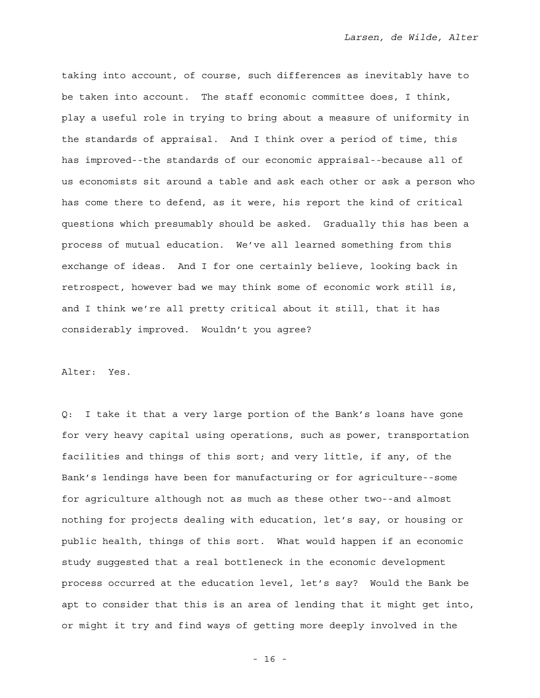taking into account, of course, such differences as inevitably have to be taken into account. The staff economic committee does, I think, play a useful role in trying to bring about a measure of uniformity in the standards of appraisal. And I think over a period of time, this has improved--the standards of our economic appraisal--because all of us economists sit around a table and ask each other or ask a person who has come there to defend, as it were, his report the kind of critical questions which presumably should be asked. Gradually this has been a process of mutual education. We've all learned something from this exchange of ideas. And I for one certainly believe, looking back in retrospect, however bad we may think some of economic work still is, and I think we're all pretty critical about it still, that it has considerably improved. Wouldn't you agree?

Alter: Yes.

Q: I take it that a very large portion of the Bank's loans have gone for very heavy capital using operations, such as power, transportation facilities and things of this sort; and very little, if any, of the Bank's lendings have been for manufacturing or for agriculture--some for agriculture although not as much as these other two--and almost nothing for projects dealing with education, let's say, or housing or public health, things of this sort. What would happen if an economic study suggested that a real bottleneck in the economic development process occurred at the education level, let's say? Would the Bank be apt to consider that this is an area of lending that it might get into, or might it try and find ways of getting more deeply involved in the

- 16 -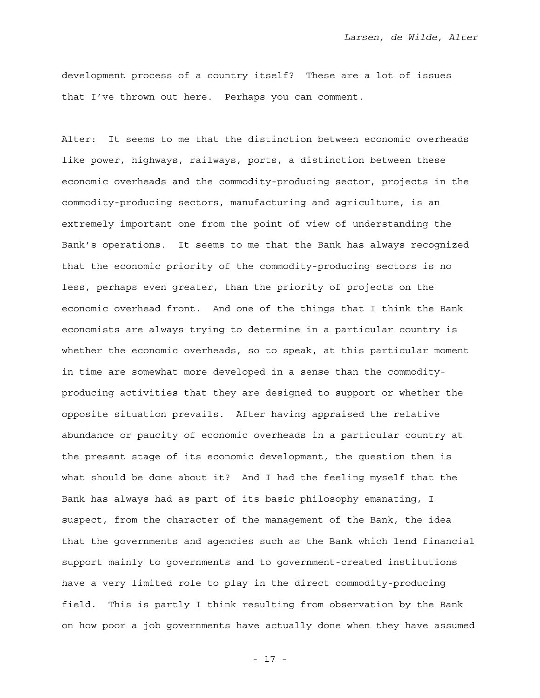development process of a country itself? These are a lot of issues that I've thrown out here. Perhaps you can comment.

Alter: It seems to me that the distinction between economic overheads like power, highways, railways, ports, a distinction between these economic overheads and the commodity-producing sector, projects in the commodity-producing sectors, manufacturing and agriculture, is an extremely important one from the point of view of understanding the Bank's operations. It seems to me that the Bank has always recognized that the economic priority of the commodity-producing sectors is no less, perhaps even greater, than the priority of projects on the economic overhead front. And one of the things that I think the Bank economists are always trying to determine in a particular country is whether the economic overheads, so to speak, at this particular moment in time are somewhat more developed in a sense than the commodityproducing activities that they are designed to support or whether the opposite situation prevails. After having appraised the relative abundance or paucity of economic overheads in a particular country at the present stage of its economic development, the question then is what should be done about it? And I had the feeling myself that the Bank has always had as part of its basic philosophy emanating, I suspect, from the character of the management of the Bank, the idea that the governments and agencies such as the Bank which lend financial support mainly to governments and to government-created institutions have a very limited role to play in the direct commodity-producing field. This is partly I think resulting from observation by the Bank on how poor a job governments have actually done when they have assumed

- 17 -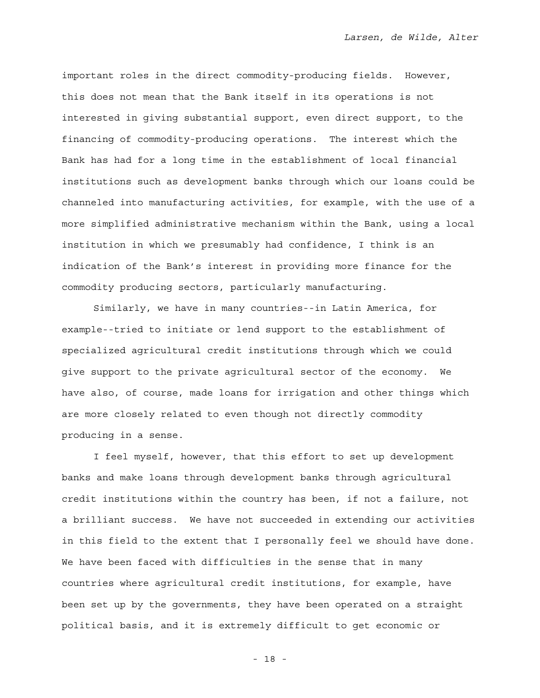important roles in the direct commodity-producing fields. However, this does not mean that the Bank itself in its operations is not interested in giving substantial support, even direct support, to the financing of commodity-producing operations. The interest which the Bank has had for a long time in the establishment of local financial institutions such as development banks through which our loans could be channeled into manufacturing activities, for example, with the use of a more simplified administrative mechanism within the Bank, using a local institution in which we presumably had confidence, I think is an indication of the Bank's interest in providing more finance for the commodity producing sectors, particularly manufacturing.

 Similarly, we have in many countries--in Latin America, for example--tried to initiate or lend support to the establishment of specialized agricultural credit institutions through which we could give support to the private agricultural sector of the economy. We have also, of course, made loans for irrigation and other things which are more closely related to even though not directly commodity producing in a sense.

 I feel myself, however, that this effort to set up development banks and make loans through development banks through agricultural credit institutions within the country has been, if not a failure, not a brilliant success. We have not succeeded in extending our activities in this field to the extent that I personally feel we should have done. We have been faced with difficulties in the sense that in many countries where agricultural credit institutions, for example, have been set up by the governments, they have been operated on a straight political basis, and it is extremely difficult to get economic or

- 18 -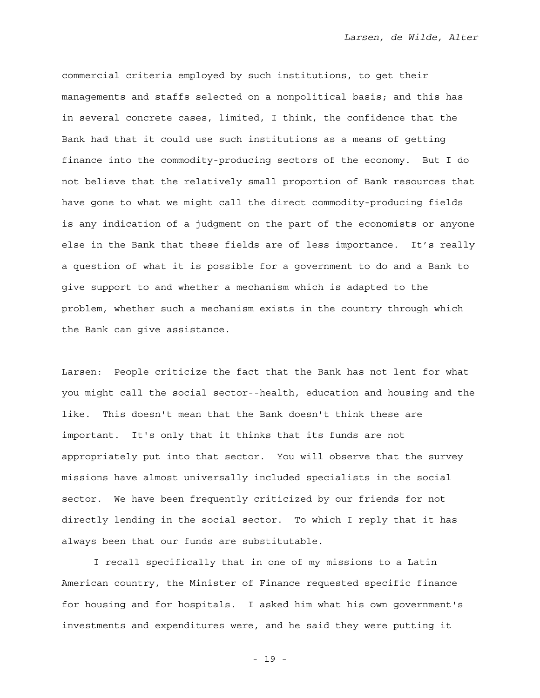commercial criteria employed by such institutions, to get their managements and staffs selected on a nonpolitical basis; and this has in several concrete cases, limited, I think, the confidence that the Bank had that it could use such institutions as a means of getting finance into the commodity-producing sectors of the economy. But I do not believe that the relatively small proportion of Bank resources that have gone to what we might call the direct commodity-producing fields is any indication of a judgment on the part of the economists or anyone else in the Bank that these fields are of less importance. It's really a question of what it is possible for a government to do and a Bank to give support to and whether a mechanism which is adapted to the problem, whether such a mechanism exists in the country through which the Bank can give assistance.

Larsen: People criticize the fact that the Bank has not lent for what you might call the social sector--health, education and housing and the like. This doesn't mean that the Bank doesn't think these are important. It's only that it thinks that its funds are not appropriately put into that sector. You will observe that the survey missions have almost universally included specialists in the social sector. We have been frequently criticized by our friends for not directly lending in the social sector. To which I reply that it has always been that our funds are substitutable.

 I recall specifically that in one of my missions to a Latin American country, the Minister of Finance requested specific finance for housing and for hospitals. I asked him what his own government's investments and expenditures were, and he said they were putting it

- 19 -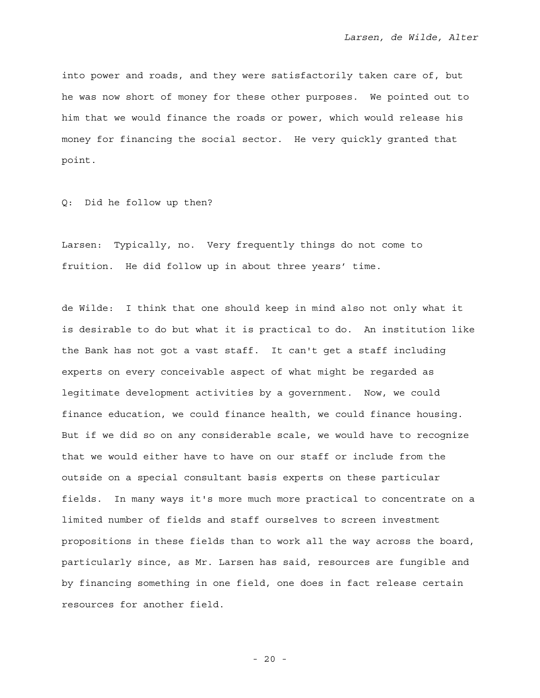into power and roads, and they were satisfactorily taken care of, but he was now short of money for these other purposes. We pointed out to him that we would finance the roads or power, which would release his money for financing the social sector. He very quickly granted that point.

Q: Did he follow up then?

Larsen: Typically, no. Very frequently things do not come to fruition. He did follow up in about three years' time.

de Wilde: I think that one should keep in mind also not only what it is desirable to do but what it is practical to do. An institution like the Bank has not got a vast staff. It can't get a staff including experts on every conceivable aspect of what might be regarded as legitimate development activities by a government. Now, we could finance education, we could finance health, we could finance housing. But if we did so on any considerable scale, we would have to recognize that we would either have to have on our staff or include from the outside on a special consultant basis experts on these particular fields. In many ways it's more much more practical to concentrate on a limited number of fields and staff ourselves to screen investment propositions in these fields than to work all the way across the board, particularly since, as Mr. Larsen has said, resources are fungible and by financing something in one field, one does in fact release certain resources for another field.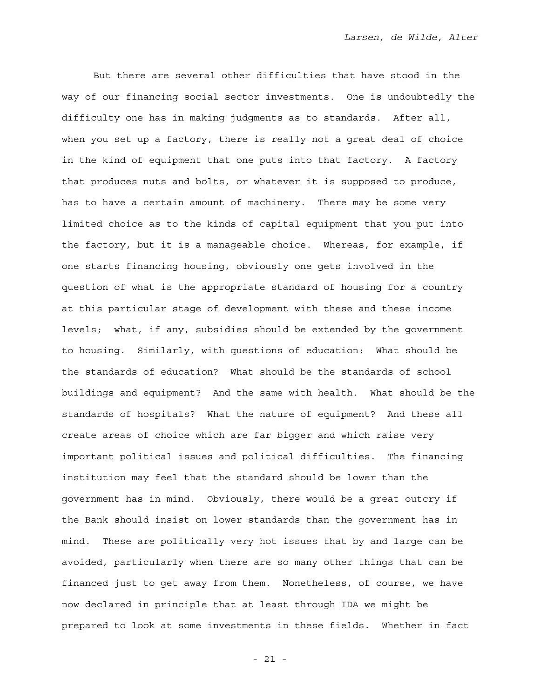But there are several other difficulties that have stood in the way of our financing social sector investments. One is undoubtedly the difficulty one has in making judgments as to standards. After all, when you set up a factory, there is really not a great deal of choice in the kind of equipment that one puts into that factory. A factory that produces nuts and bolts, or whatever it is supposed to produce, has to have a certain amount of machinery. There may be some very limited choice as to the kinds of capital equipment that you put into the factory, but it is a manageable choice. Whereas, for example, if one starts financing housing, obviously one gets involved in the question of what is the appropriate standard of housing for a country at this particular stage of development with these and these income levels; what, if any, subsidies should be extended by the government to housing. Similarly, with questions of education: What should be the standards of education? What should be the standards of school buildings and equipment? And the same with health. What should be the standards of hospitals? What the nature of equipment? And these all create areas of choice which are far bigger and which raise very important political issues and political difficulties. The financing institution may feel that the standard should be lower than the government has in mind. Obviously, there would be a great outcry if the Bank should insist on lower standards than the government has in mind. These are politically very hot issues that by and large can be avoided, particularly when there are so many other things that can be financed just to get away from them. Nonetheless, of course, we have now declared in principle that at least through IDA we might be prepared to look at some investments in these fields. Whether in fact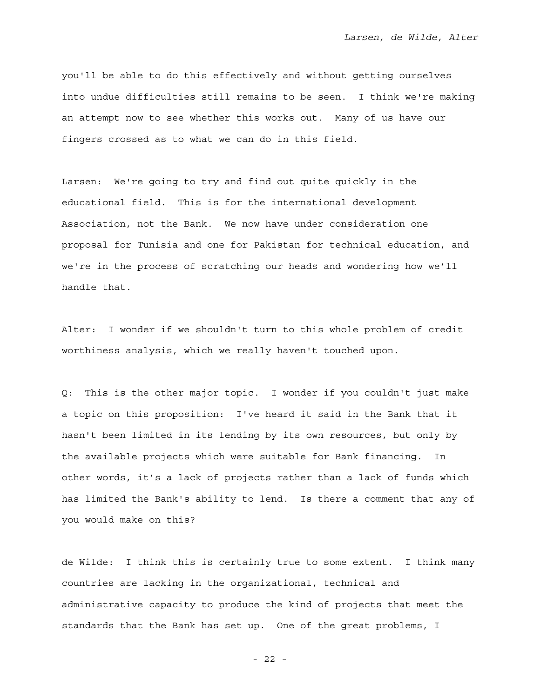you'll be able to do this effectively and without getting ourselves into undue difficulties still remains to be seen. I think we're making an attempt now to see whether this works out. Many of us have our fingers crossed as to what we can do in this field.

Larsen: We're going to try and find out quite quickly in the educational field. This is for the international development Association, not the Bank. We now have under consideration one proposal for Tunisia and one for Pakistan for technical education, and we're in the process of scratching our heads and wondering how we'll handle that.

Alter: I wonder if we shouldn't turn to this whole problem of credit worthiness analysis, which we really haven't touched upon.

Q: This is the other major topic. I wonder if you couldn't just make a topic on this proposition: I've heard it said in the Bank that it hasn't been limited in its lending by its own resources, but only by the available projects which were suitable for Bank financing. In other words, it's a lack of projects rather than a lack of funds which has limited the Bank's ability to lend. Is there a comment that any of you would make on this?

de Wilde: I think this is certainly true to some extent. I think many countries are lacking in the organizational, technical and administrative capacity to produce the kind of projects that meet the standards that the Bank has set up. One of the great problems, I

- 22 -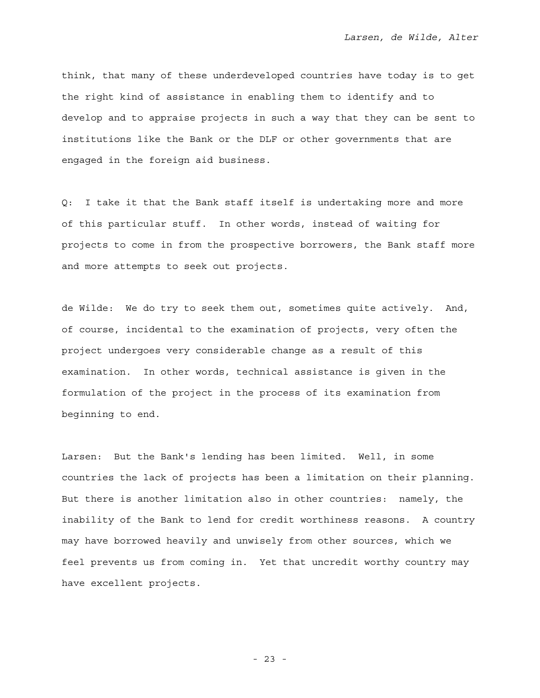think, that many of these underdeveloped countries have today is to get the right kind of assistance in enabling them to identify and to develop and to appraise projects in such a way that they can be sent to institutions like the Bank or the DLF or other governments that are engaged in the foreign aid business.

Q: I take it that the Bank staff itself is undertaking more and more of this particular stuff. In other words, instead of waiting for projects to come in from the prospective borrowers, the Bank staff more and more attempts to seek out projects.

de Wilde: We do try to seek them out, sometimes quite actively. And, of course, incidental to the examination of projects, very often the project undergoes very considerable change as a result of this examination. In other words, technical assistance is given in the formulation of the project in the process of its examination from beginning to end.

Larsen: But the Bank's lending has been limited. Well, in some countries the lack of projects has been a limitation on their planning. But there is another limitation also in other countries: namely, the inability of the Bank to lend for credit worthiness reasons. A country may have borrowed heavily and unwisely from other sources, which we feel prevents us from coming in. Yet that uncredit worthy country may have excellent projects.

- 23 -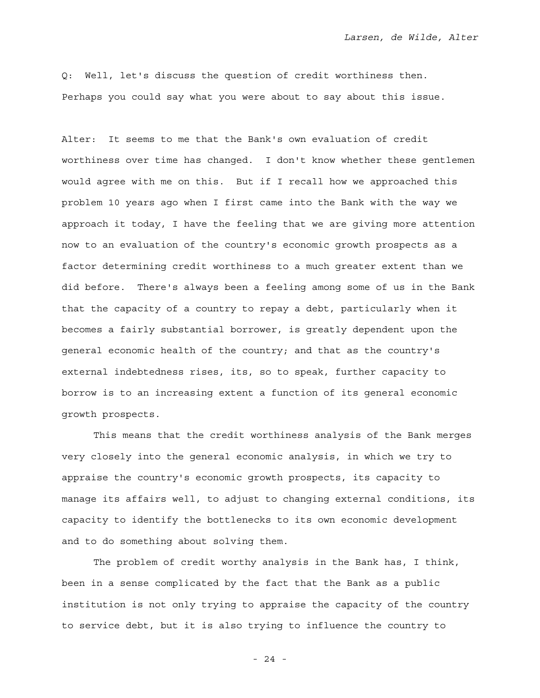Q: Well, let's discuss the question of credit worthiness then. Perhaps you could say what you were about to say about this issue.

Alter: It seems to me that the Bank's own evaluation of credit worthiness over time has changed. I don't know whether these gentlemen would agree with me on this. But if I recall how we approached this problem 10 years ago when I first came into the Bank with the way we approach it today, I have the feeling that we are giving more attention now to an evaluation of the country's economic growth prospects as a factor determining credit worthiness to a much greater extent than we did before. There's always been a feeling among some of us in the Bank that the capacity of a country to repay a debt, particularly when it becomes a fairly substantial borrower, is greatly dependent upon the general economic health of the country; and that as the country's external indebtedness rises, its, so to speak, further capacity to borrow is to an increasing extent a function of its general economic growth prospects.

 This means that the credit worthiness analysis of the Bank merges very closely into the general economic analysis, in which we try to appraise the country's economic growth prospects, its capacity to manage its affairs well, to adjust to changing external conditions, its capacity to identify the bottlenecks to its own economic development and to do something about solving them.

 The problem of credit worthy analysis in the Bank has, I think, been in a sense complicated by the fact that the Bank as a public institution is not only trying to appraise the capacity of the country to service debt, but it is also trying to influence the country to

- 24 -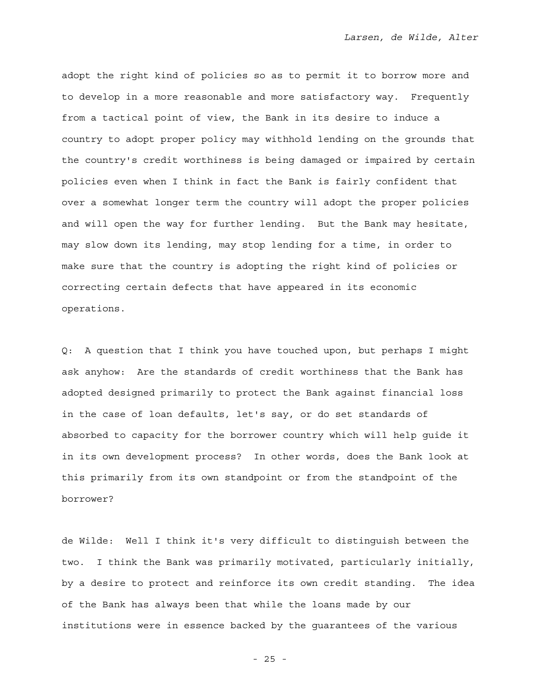adopt the right kind of policies so as to permit it to borrow more and to develop in a more reasonable and more satisfactory way. Frequently from a tactical point of view, the Bank in its desire to induce a country to adopt proper policy may withhold lending on the grounds that the country's credit worthiness is being damaged or impaired by certain policies even when I think in fact the Bank is fairly confident that over a somewhat longer term the country will adopt the proper policies and will open the way for further lending. But the Bank may hesitate, may slow down its lending, may stop lending for a time, in order to make sure that the country is adopting the right kind of policies or correcting certain defects that have appeared in its economic operations.

Q: A question that I think you have touched upon, but perhaps I might ask anyhow: Are the standards of credit worthiness that the Bank has adopted designed primarily to protect the Bank against financial loss in the case of loan defaults, let's say, or do set standards of absorbed to capacity for the borrower country which will help guide it in its own development process? In other words, does the Bank look at this primarily from its own standpoint or from the standpoint of the borrower?

de Wilde: Well I think it's very difficult to distinguish between the two. I think the Bank was primarily motivated, particularly initially, by a desire to protect and reinforce its own credit standing. The idea of the Bank has always been that while the loans made by our institutions were in essence backed by the guarantees of the various

- 25 -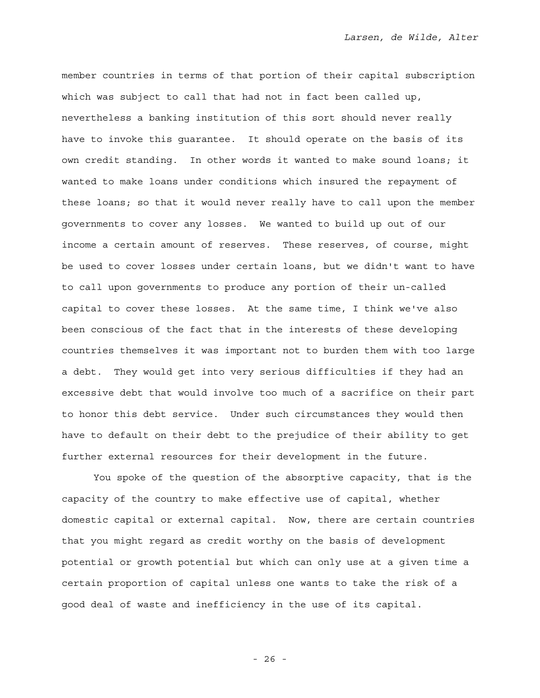member countries in terms of that portion of their capital subscription which was subject to call that had not in fact been called up, nevertheless a banking institution of this sort should never really have to invoke this guarantee. It should operate on the basis of its own credit standing. In other words it wanted to make sound loans; it wanted to make loans under conditions which insured the repayment of these loans; so that it would never really have to call upon the member governments to cover any losses. We wanted to build up out of our income a certain amount of reserves. These reserves, of course, might be used to cover losses under certain loans, but we didn't want to have to call upon governments to produce any portion of their un-called capital to cover these losses. At the same time, I think we've also been conscious of the fact that in the interests of these developing countries themselves it was important not to burden them with too large a debt. They would get into very serious difficulties if they had an excessive debt that would involve too much of a sacrifice on their part to honor this debt service. Under such circumstances they would then have to default on their debt to the prejudice of their ability to get further external resources for their development in the future.

 You spoke of the question of the absorptive capacity, that is the capacity of the country to make effective use of capital, whether domestic capital or external capital. Now, there are certain countries that you might regard as credit worthy on the basis of development potential or growth potential but which can only use at a given time a certain proportion of capital unless one wants to take the risk of a good deal of waste and inefficiency in the use of its capital.

- 26 -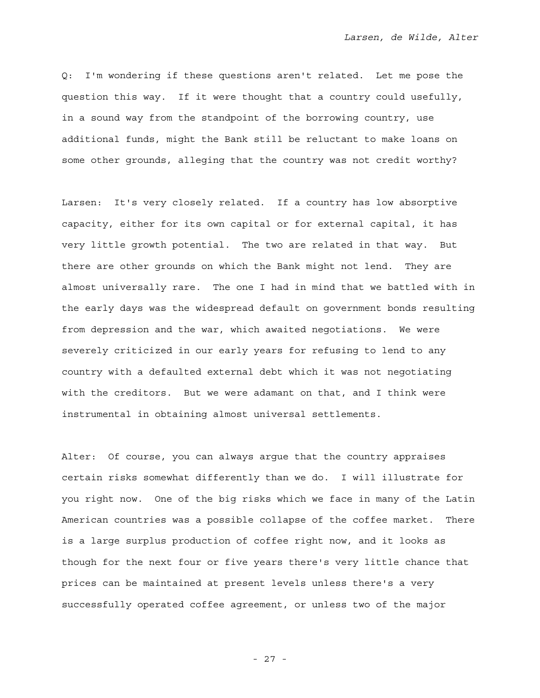Q: I'm wondering if these questions aren't related. Let me pose the question this way. If it were thought that a country could usefully, in a sound way from the standpoint of the borrowing country, use additional funds, might the Bank still be reluctant to make loans on some other grounds, alleging that the country was not credit worthy?

Larsen: It's very closely related. If a country has low absorptive capacity, either for its own capital or for external capital, it has very little growth potential. The two are related in that way. But there are other grounds on which the Bank might not lend. They are almost universally rare. The one I had in mind that we battled with in the early days was the widespread default on government bonds resulting from depression and the war, which awaited negotiations. We were severely criticized in our early years for refusing to lend to any country with a defaulted external debt which it was not negotiating with the creditors. But we were adamant on that, and I think were instrumental in obtaining almost universal settlements.

Alter: Of course, you can always argue that the country appraises certain risks somewhat differently than we do. I will illustrate for you right now. One of the big risks which we face in many of the Latin American countries was a possible collapse of the coffee market. There is a large surplus production of coffee right now, and it looks as though for the next four or five years there's very little chance that prices can be maintained at present levels unless there's a very successfully operated coffee agreement, or unless two of the major

- 27 -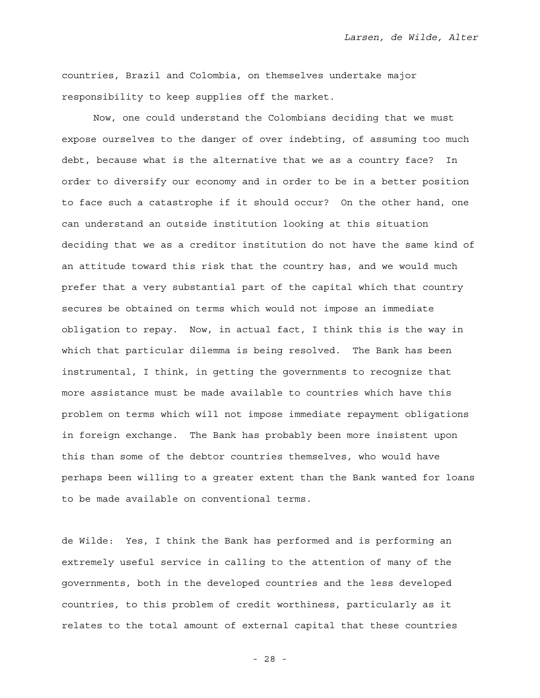countries, Brazil and Colombia, on themselves undertake major responsibility to keep supplies off the market.

 Now, one could understand the Colombians deciding that we must expose ourselves to the danger of over indebting, of assuming too much debt, because what is the alternative that we as a country face? In order to diversify our economy and in order to be in a better position to face such a catastrophe if it should occur? On the other hand, one can understand an outside institution looking at this situation deciding that we as a creditor institution do not have the same kind of an attitude toward this risk that the country has, and we would much prefer that a very substantial part of the capital which that country secures be obtained on terms which would not impose an immediate obligation to repay. Now, in actual fact, I think this is the way in which that particular dilemma is being resolved. The Bank has been instrumental, I think, in getting the governments to recognize that more assistance must be made available to countries which have this problem on terms which will not impose immediate repayment obligations in foreign exchange. The Bank has probably been more insistent upon this than some of the debtor countries themselves, who would have perhaps been willing to a greater extent than the Bank wanted for loans to be made available on conventional terms.

de Wilde: Yes, I think the Bank has performed and is performing an extremely useful service in calling to the attention of many of the governments, both in the developed countries and the less developed countries, to this problem of credit worthiness, particularly as it relates to the total amount of external capital that these countries

- 28 -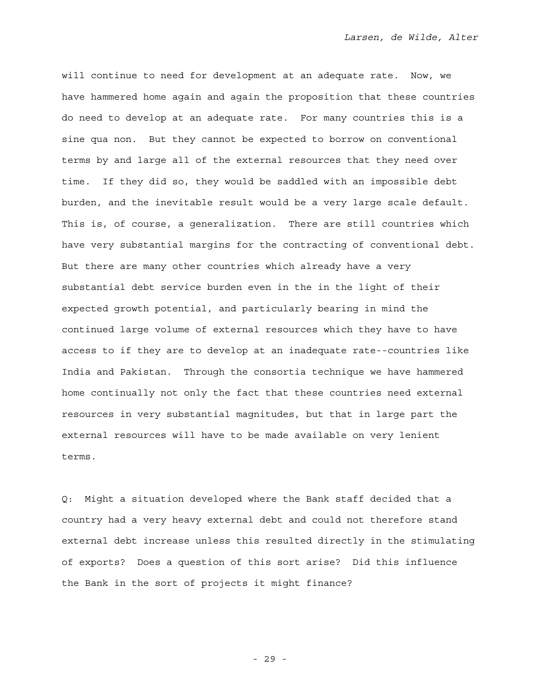will continue to need for development at an adequate rate. Now, we have hammered home again and again the proposition that these countries do need to develop at an adequate rate. For many countries this is a sine qua non. But they cannot be expected to borrow on conventional terms by and large all of the external resources that they need over time. If they did so, they would be saddled with an impossible debt burden, and the inevitable result would be a very large scale default. This is, of course, a generalization. There are still countries which have very substantial margins for the contracting of conventional debt. But there are many other countries which already have a very substantial debt service burden even in the in the light of their expected growth potential, and particularly bearing in mind the continued large volume of external resources which they have to have access to if they are to develop at an inadequate rate--countries like India and Pakistan. Through the consortia technique we have hammered home continually not only the fact that these countries need external resources in very substantial magnitudes, but that in large part the external resources will have to be made available on very lenient terms.

Q: Might a situation developed where the Bank staff decided that a country had a very heavy external debt and could not therefore stand external debt increase unless this resulted directly in the stimulating of exports? Does a question of this sort arise? Did this influence the Bank in the sort of projects it might finance?

- 29 -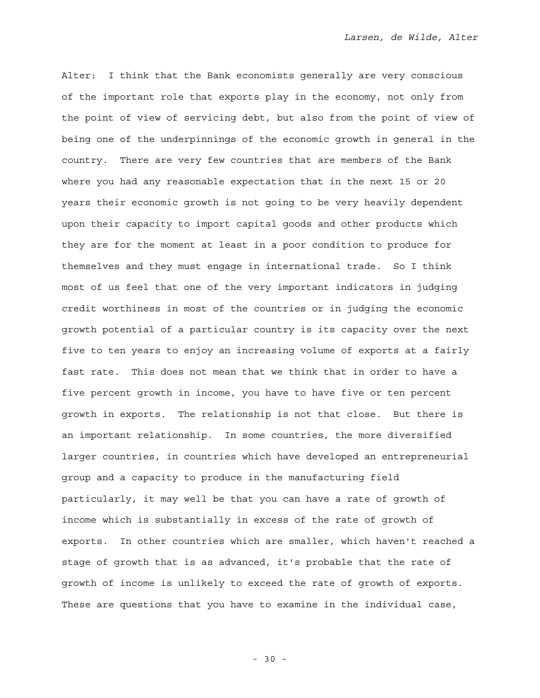Alter: I think that the Bank economists generally are very conscious of the important role that exports play in the economy, not only from the point of view of servicing debt, but also from the point of view of being one of the underpinnings of the economic growth in general in the country. There are very few countries that are members of the Bank where you had any reasonable expectation that in the next 15 or 20 years their economic growth is not going to be very heavily dependent upon their capacity to import capital goods and other products which they are for the moment at least in a poor condition to produce for themselves and they must engage in international trade. So I think most of us feel that one of the very important indicators in judging credit worthiness in most of the countries or in judging the economic growth potential of a particular country is its capacity over the next five to ten years to enjoy an increasing volume of exports at a fairly fast rate. This does not mean that we think that in order to have a five percent growth in income, you have to have five or ten percent growth in exports. The relationship is not that close. But there is an important relationship. In some countries, the more diversified larger countries, in countries which have developed an entrepreneurial group and a capacity to produce in the manufacturing field particularly, it may well be that you can have a rate of growth of income which is substantially in excess of the rate of growth of exports. In other countries which are smaller, which haven't reached a stage of growth that is as advanced, it's probable that the rate of growth of income is unlikely to exceed the rate of growth of exports. These are questions that you have to examine in the individual case,

- 30 -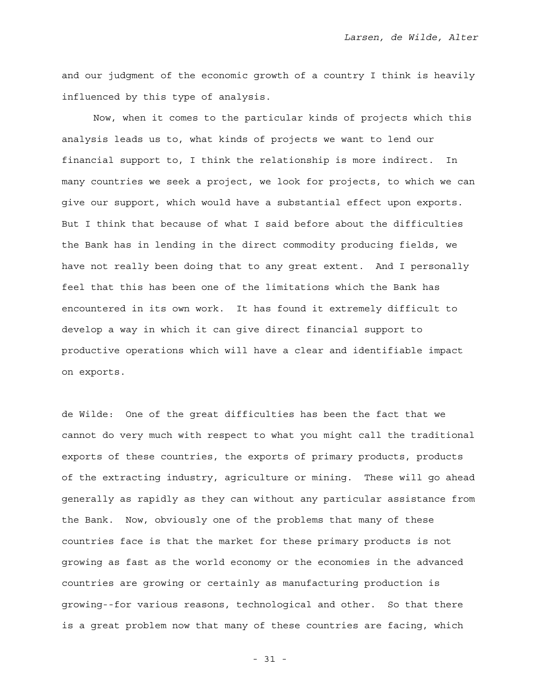and our judgment of the economic growth of a country I think is heavily influenced by this type of analysis.

 Now, when it comes to the particular kinds of projects which this analysis leads us to, what kinds of projects we want to lend our financial support to, I think the relationship is more indirect. In many countries we seek a project, we look for projects, to which we can give our support, which would have a substantial effect upon exports. But I think that because of what I said before about the difficulties the Bank has in lending in the direct commodity producing fields, we have not really been doing that to any great extent. And I personally feel that this has been one of the limitations which the Bank has encountered in its own work. It has found it extremely difficult to develop a way in which it can give direct financial support to productive operations which will have a clear and identifiable impact on exports.

de Wilde: One of the great difficulties has been the fact that we cannot do very much with respect to what you might call the traditional exports of these countries, the exports of primary products, products of the extracting industry, agriculture or mining. These will go ahead generally as rapidly as they can without any particular assistance from the Bank. Now, obviously one of the problems that many of these countries face is that the market for these primary products is not growing as fast as the world economy or the economies in the advanced countries are growing or certainly as manufacturing production is growing--for various reasons, technological and other. So that there is a great problem now that many of these countries are facing, which

- 31 -